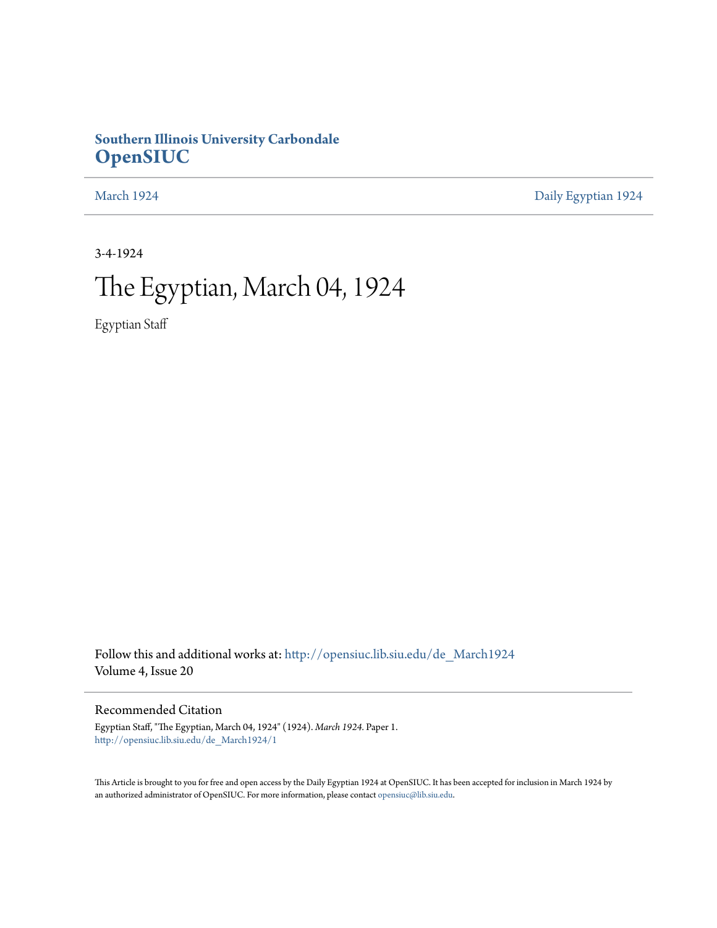### **Southern Illinois University Carbondale [OpenSIUC](http://opensiuc.lib.siu.edu?utm_source=opensiuc.lib.siu.edu%2Fde_March1924%2F1&utm_medium=PDF&utm_campaign=PDFCoverPages)**

[March 1924](http://opensiuc.lib.siu.edu/de_March1924?utm_source=opensiuc.lib.siu.edu%2Fde_March1924%2F1&utm_medium=PDF&utm_campaign=PDFCoverPages) [Daily Egyptian 1924](http://opensiuc.lib.siu.edu/de_1924?utm_source=opensiuc.lib.siu.edu%2Fde_March1924%2F1&utm_medium=PDF&utm_campaign=PDFCoverPages)

3-4-1924

# The Egyptian, March 04, 1924

Egyptian Staff

Follow this and additional works at: [http://opensiuc.lib.siu.edu/de\\_March1924](http://opensiuc.lib.siu.edu/de_March1924?utm_source=opensiuc.lib.siu.edu%2Fde_March1924%2F1&utm_medium=PDF&utm_campaign=PDFCoverPages) Volume 4, Issue 20

### Recommended Citation

Egyptian Staff, "The Egyptian, March 04, 1924" (1924). *March 1924.* Paper 1. [http://opensiuc.lib.siu.edu/de\\_March1924/1](http://opensiuc.lib.siu.edu/de_March1924/1?utm_source=opensiuc.lib.siu.edu%2Fde_March1924%2F1&utm_medium=PDF&utm_campaign=PDFCoverPages)

This Article is brought to you for free and open access by the Daily Egyptian 1924 at OpenSIUC. It has been accepted for inclusion in March 1924 by an authorized administrator of OpenSIUC. For more information, please contact [opensiuc@lib.siu.edu.](mailto:opensiuc@lib.siu.edu)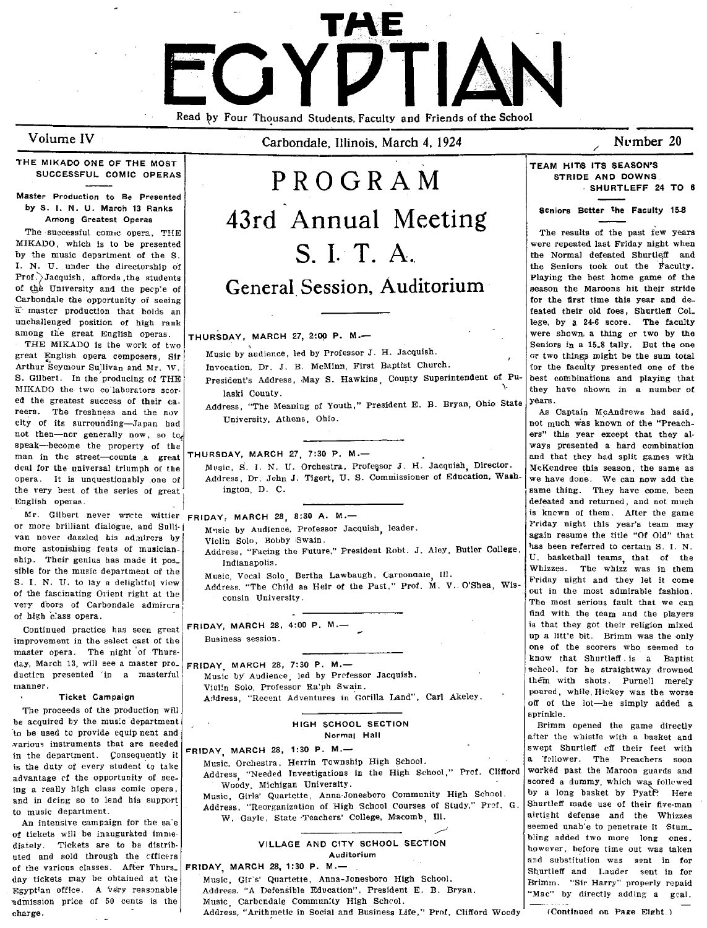**TME**  EOY Read by Four Thousand Students, Faculty and Friends of the School

Volume IV

Carbondale, Illinois, March 4, 1924

### Number 20

### THE MIKADO ONE OF THE MOST SUCCESSFUL COMIC OPERAS

#### Master Production to Be Presented by S. I. N. U. March 13 Ranks Among Greatest Operas

The successful comic opera. THE MIKADO, which is to be presented by the music department of the S. 1. N. U. under the directorship o'f  $Prof.$ ) Jacquish, affords the students of the University and the pecp'e of Carbondale the opportunity of seeing  $a^{\dagger}$  master production that holds an unchallenged position of high rank among the great English operas.

THE MIKADO is the work of two great English opera cemposers, Sir Arthur Seymour Sullivan and Mr. W. S. Gilbert. In the producing of THE MIKADO the two colaborators scored the greatest success of their  $ca$ reers. The freshness and the nov elty of its surrounding-Japan had not then-nor generally now, so to, speak-become the property of the<br>man in the street-counts a great

or more brilliant dialogue, and Sulli-<br>
van never dazzled his admirers by violin Solo, Bobby Swain.<br>
more astonishing feats of musician and violin Solo, Bobby Swain.<br>
more astonishing feats of musician and violin Solo, Bob sible for the music department of the Music, Vocal Solo, Bertha Lawbaugh, Carpondale, Ill. [Whizzes. The whizz was in them<br>S. I. N. II, to law a delightful view and Music, Vocal Solo, Bertha Lawbaugh, Carpondale, Ill. [Pri S. I. N. U. to lay a delightful view of the faSCinating Orient right at the very d'oors of Carbondale admirers<br>of high class opera,

improvement in the select cast of the master opera. The night of Thursday, March 13, will see a master pro\_ ductien presented 'in a masterful manner.

#### Ticket Campaign

The proceeds of the production will be acquired by the music department 'to be used to provide equip nent and \_variouq instruments that aTe needed in the department. Consequently it is the duty of every student to take advantage of the opportunity of seeing a really high class comic opera, and in deing so to lend his support to music department.

An intensive campaign for the sa'e of tickets will be inaugurated immediately. Tickets are to be distrib· uted and sold through the cfficers of the various classes. After Thurs\_ day tickets may be obtained at the Egyptian office. A very reasonable admission price of 50 cents is the charge.

# PROGRAM 43rd Annual Meeting S. I. T. A. General Session, Auditorium THURSDAY, MARCH 27, 2:00 P. M.-

Music by audience, led by Professor J. H. Jacquish.

Invocation, Dr. J. B. McMinn, First Baptist Church.

President's Address, May S. Hawkins, County Superintendent of Pulaski County.

Address, "The Meaning of Youth," President E. B. Bryan, Ohio State University, Athens, Ohio.

deal for the universal triumph of the Music, S. I. N. U. Orchestra, Professor J. H. Jacquish, Director. McKendree this season, the same as opera. It is unquestionably one of Address, Dr. John J. Tigert, U. S. Commissioner of Education, Wash- we have done. We can now add the the very best of the series of great ington, D. C.  $\left| \begin{array}{ccc} \text{is a time, they have come, been} \\ \text{is a time, they have come, even} \end{array} \right|$ 

- more astonishing feats of musician-<br>
address, "Facing the Future," President Robt. J. Aley, Butler College, <sup>Ing</sup> been referred to certain S. I. N.<br>
U. basketball teams, that of the ship. Their genius has made it pos\_ Indianapolis.<br>
Ship for the music denartment of the Indianapolis.<br>
Ship for the music denartment of the University of The University of the University of the University of the
	- Music. Vocal Solo, Bertha Lawbaugh, Carnonaale, Ill.
	- Address. "The Child as Heir of the Past," Prof. M. V. O'Shea, Wis- out in the most admirable fashion. consin University,

of high class opera.<br>
Continued practice has seen great FRIDAY, MARCH 28, 4:00 P, M.—<br>
improvement in the select cast of the Business session.

FRIDAY, MARCH 28, 7:30 P. M.-Music by Audience, led by Prefessor Jacquish. Violin Solo, Professor Ra'ph Swain. A,)dress, "Recent Adventures in Gorilla Land", Carl Akeley.

### HIGH SCHOOL SECTION Normal Hall

 $FRIDAY$ , MARCH 28, 1:30 P. M.-Music, Orchestra. Herrin Township High School. Address "Needed Investigations in the High School," Prcf. Clifford

Woody, Michigan University. Music, Girls' Quartette, Anna·Jonesboro Community High School. Address, "Reorganization of High School Courses of Study," Prof. G. W. Gayle, State 'Teachers' College, M:acomb, Ill.

### ../ VILLAGE AND CITY SCHOOL SECTION Auditorium

#### FRIDAY, MARCH 28, 1:30 P. M.-

Music, Gir's' Quartette, Anna-Jonesboro High School. Addrpss. "A Defensible Education", President E. B. Bryan. Music Carbcndale Community High Schcol. Address, "Arithmetic in Social and Business Life," Prof. Clifford Woody TEAM HITS ITS SEASON'S STRIDE AND DOWNS . SHURTLEFF 24 TO 8

Seniors Better the Faculty 15-8

The results of the past few years were repeated last Friday night when the Normal defeated Shurtleff and the Seniors took out the Faculty. Playing the best home game of the season the Maroons hit their stride for the first time this year and defeated their old foes, Shurtleff Col\_ lege, by a 24-6 score. The faculty were shown, a thing or two by the Seniors in a 15\_8 tally. But the one or two things might be the sum total for the facuity presented one of the best combinations and playing that they have shown in a number of years.

As Captain McAndrews had said, not much was known of the "Preachers" this year except that they al-<br>ways presented a hard combination THURSDAY, MARCH 27, 7:30 P. M.—  $\qquad \qquad \qquad$  and that they had split games with English operas.<br>
Mr. Gilbert never write wattler punay MARCH 28 8:30 A. M. — Sales and returned, and not much much and much is known of them. After the game Mr. Gilbert never write wattler FRIDAY, MARCH 28, 8:30 A. M. - is knewn of them. After the game<br>or more brilliant dialogue, and Sulli-1 article by Audience Professor Jacquish leader. Tbe most serious fault that we can find with the team and the players is that they got their religion mixed<br>up a little bit. Brimm was the only one of the scorers who seemed to know that Shurtleff. is a Baptist scheol, for he straightway drowned them with shots. Puruell merely poured, while. Hickey was the worse off of the lot-he simply added a sprinkle.

Brimm opened the game directly after the whistle with a basket and swept Shurtleff eff their feet with a ·follower. The Preachers soon worked past tbe Maroon guards and scored a dummy, which was followed by a long basket by Pyatt? Here Shurtleff made use of their five-man airtight defense and the Whizzes seemed unab'e to penetrate it Stum\_ bling added two more long ones, however, before time out was taken and substitution was sent in for Shurtleff and Lauder sent in for Brimm. "Sir Harry" properly repaid "Mac" by directly adding a gcal.

(Continued on Page Eight, )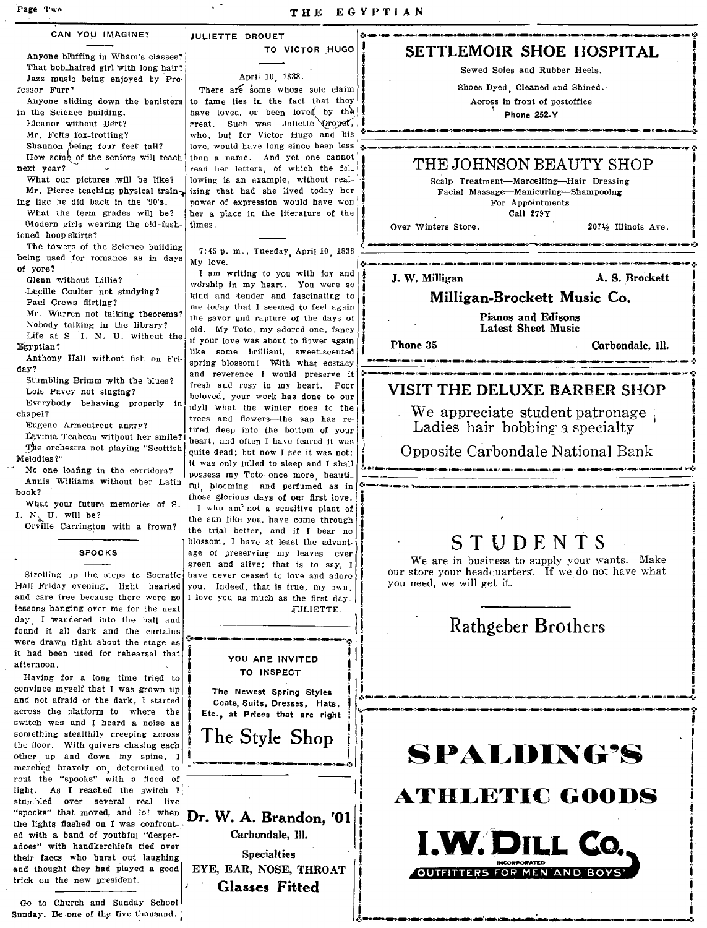| CAN YOU IMAGINE?                                                           | <b>JULIETTE DROUET</b>                                                         |                                                     |
|----------------------------------------------------------------------------|--------------------------------------------------------------------------------|-----------------------------------------------------|
| Anyone bluffing in Wham's classes?                                         | TO VICTOR HUGO                                                                 | SETTLEMOIR SHOE HOSPITAL                            |
| That bob haired girl with long hair?                                       |                                                                                | Sewed Soles and Rubber Heels.                       |
| Jazz music being enjoyed by Pro-                                           | April 10 1838.                                                                 | Shoes Dyed. Cleaned and Shined.                     |
| fessor Furr?<br>Anyone sliding down the banisters                          | There are some whose sole claim<br>to fame lies in the fact that they          | Across in front of postoffice                       |
| in the Science building.                                                   | have loved, or been loved by the                                               | <b>Phone 252-Y</b>                                  |
| Eleanor without Bert?                                                      | rreat. Such was Juliette Drougt,                                               |                                                     |
| Mr. Felts fox-trotting?                                                    | who, but for Victor Hugo and his                                               |                                                     |
| Shannon being four feet tall?                                              | love, would have long since been less                                          |                                                     |
| How some of the seniors will teach<br>next year?                           | than a name. And yet one cannot<br>read her letters, of which the fol.         | THE JOHNSON BEAUTY SHOP                             |
| What our pictures will be like?                                            | lowing is an example, without real-                                            | Scalp Treatment-Marcelling-Hair Dressing            |
| Mr. Pierce teaching physical train-                                        | izing that had she lived today her                                             | Facial Massage-Manicuring-Shampooing                |
| ing like he did back in the '90's.                                         | power of expression would have won                                             | For Appointments                                    |
| What the term grades will be?                                              | her a place in the literature of the                                           | Call 279Y                                           |
| Modern girls wearing the old-fash-<br>icned hoop skirts?                   | times.                                                                         | Over Winters Store.<br>2071/2 Illinois Ave.         |
| The towers of the Science building                                         |                                                                                |                                                     |
| being used for romance as in days                                          | 7:45 p. m., Tuesday, April 10, 1838<br>My love,                                |                                                     |
| of yore?                                                                   | I am writing to you with joy and                                               | J. W. Milligan<br>A. S. Brockett                    |
| Glenn without Lillie?<br>Lucille Coulter not studying?                     | worship in my heart. You were so                                               |                                                     |
| Paul Crews flirting?                                                       | kind and tender and fascinating to                                             | Milligan-Brockett Music Co.                         |
| Mr. Warren not talking theorems?                                           | me today that I seemed to feel again                                           | <b>Pianos and Edisons</b>                           |
| Nobody talking in the library?                                             | the savor and rapture of the days of<br>old. My Toto, my adored one, fancy     | Latest Sheet Music                                  |
| Life at S. I. N. U. without the                                            | if your love was about to flower again                                         | Phone 35<br>Carbondale, Ill.                        |
| Egyptian?<br>Anthony Hall without fish on Fri-                             | like some brilliant, sweet-scented                                             |                                                     |
| day?                                                                       | spring blossom! With what ecstacy                                              |                                                     |
| Stumbling Brimm with the blues?                                            | and reverence I would preserve it<br>fresh and rosy in my heart. Peor          |                                                     |
| Lois Pavey not singing?                                                    | beloved, your work has done to our                                             | VISIT THE DELUXE BARBER SHOP                        |
| Everybody behaving properly in                                             | idyll what the winter does to the                                              | We appreciate student patronage                     |
| chapel?<br>Eugene Armentrout angry?                                        | trees and flowers—the sap has re-                                              | Ladies hair bobbing a specialty                     |
| Lavinia Teabeau without her smile?                                         | tired deep into the bottom of your                                             |                                                     |
| The orchestra not playing "Scottish                                        | heart, and often I have feared it was<br>quite dead; but now I see it was not: | Opposite Carbondale National Bank                   |
| Melodies?"                                                                 | it was only julled to sleep and I shall                                        |                                                     |
| No one loafing in the corridors?                                           | possess my Toto once more beauti.                                              |                                                     |
| Annis Williams without her Latin<br>book?                                  | ful, blocming, and perfumed as in                                              |                                                     |
| What your future memories of S.                                            | those glorious days of our first love.<br>I who am'not a sensitive plant of    |                                                     |
| I. N. U. will be?                                                          | the sun like you, have come through                                            |                                                     |
| Orville Carrington with a frown?                                           | the trial better, and if I bear no                                             |                                                     |
|                                                                            | blossom, I have at least the advant-                                           | STUDENTS                                            |
| <b>SPOOKS</b>                                                              | age of preserving my leaves ever                                               | We are in business to supply your wants. Make       |
| Strolling up the steps to Socratic                                         | green and alive; that is to say, I<br>have never ceased to love and adore      | our store your headcuarters. If we do not have what |
| Hall Friday evening, light hearted                                         | you. Indeed, that is true, my own,                                             | you need, we will get it.                           |
| and care free because there were mo                                        | I love you as much as the first day.                                           |                                                     |
| lessons hanging over me for the next                                       | JULIETTE.                                                                      |                                                     |
| day I wandered into the hall and<br>found it all dark and the curtains     |                                                                                | Rathgeber Brothers                                  |
| were drawn tight about the stage as                                        |                                                                                |                                                     |
| it had been used for rehearsal that                                        |                                                                                |                                                     |
| afternoon.                                                                 | YOU ARE INVITED                                                                |                                                     |
| Having for a long time tried to                                            | TO INSPECT                                                                     |                                                     |
| convince myself that I was grown up                                        | The Newest Spring Styles                                                       |                                                     |
| and not afraid of the dark, I started<br>across the platform to where the  | Coats, Suits, Dresses, Hats,                                                   |                                                     |
| switch was and I heard a noise as                                          | Etc., at Prices that are right                                                 |                                                     |
| something stealthily creeping across                                       | The Style Shop                                                                 |                                                     |
| the floor. With quivers chasing each                                       |                                                                                |                                                     |
| other up and down my spine, I                                              |                                                                                | SPALDING'S                                          |
| marched bravely on determined to<br>rout the "spooks" with a flood of      |                                                                                |                                                     |
| light. As I reached the switch I                                           |                                                                                |                                                     |
| stumbled over several real live                                            |                                                                                | <b>ATHLETIC GOODS</b>                               |
| "spooks" that moved, and lo! when                                          | Dr. W. A. Brandon, '01                                                         |                                                     |
| the lights flashed on I was confront-                                      |                                                                                |                                                     |
| ed with a band of youthful "desper-<br>adoes" with handkerchiefs tied over | Carbondale, Ill.                                                               | I.W. DILL Co.                                       |
| their faces who burst out laughing                                         | <b>Specialties</b>                                                             |                                                     |
| and thought they had played a good                                         | EYE, EAR, NOSE, THROAT                                                         | 'ERS FOR MEN AND BOYS'                              |
|                                                                            |                                                                                |                                                     |

## Go to Church and Sunday School Classes Fitted<br>Sunday. Be one of the five thousand. Sunday. Before the five thousand.

their faces who burst out laughing Specialties<br>and thought they had played a good EYE, EAR, NOSE, THROAT | trick on the new president. adoes" with handkerchiefs tied over<br>their faces who burst out laughing<br>and thought they had played a good<br>trick on the new president.<br>Classes Fitted Classes Fitted Classes Fitted

# TO VICTOR HUGO SETTLEMOIR SHOE HOSPITAL

### VISIT THE DELUXE BARBER SHOP

### STUDENTS



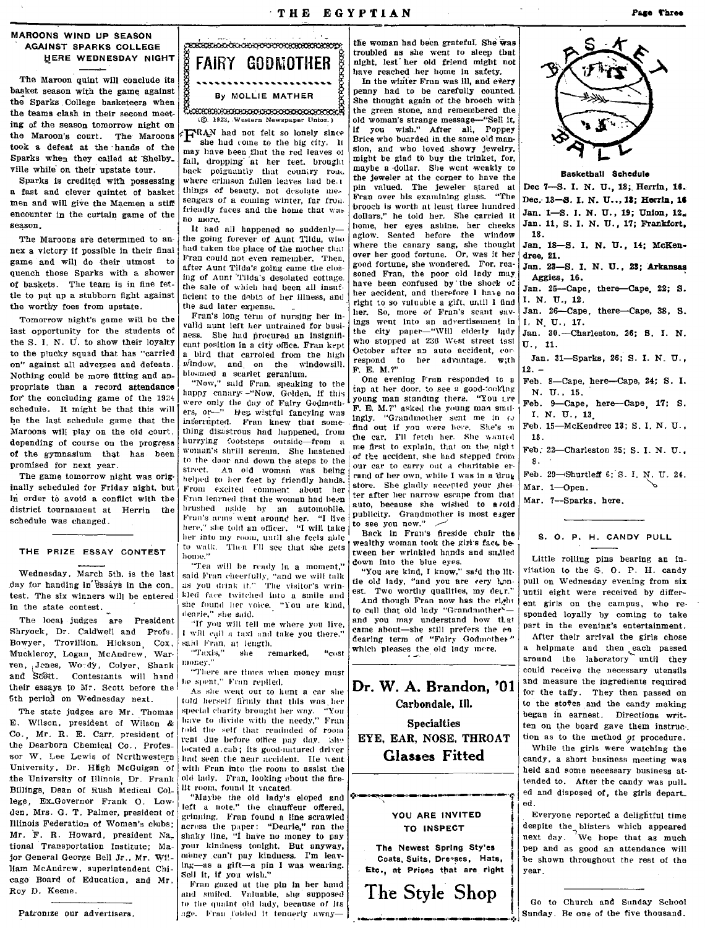### THE EGYPTIAN

MAROONS WIND UP SEASON **AGAINST SPARKS COLLEGE** HERE WEDNESDAY NIGHT

The Maroon quint will conclude its basket season with the game against the Sparks College basketeers when the teams clash in their second meet. ing of the season tomorrow night on the Maroon's court. The Maroons took a defeat at the hands of the Sparks when they called at Shelby\_ ville while on their upstate tour.

Sparks is credited with possessing a fast and clever quintet of basket men and will give the Macmen a stiff encounter in the curtain game of the season.

The Maroons are determined to annex a victory if possible in their final game and will do their utmost to quench those Sparks with a shower of baskets. The team is in fine fettle to put up a stubborn fight against the worthy foes from upstate.

Tomorrow night's game will be the last opportunity for the students of the S. I. N. U. to show their loyalty to the plucky squad that has "carried on" against all adverses and defeats. Nothing could be more fitting and appropriate than a record attendance for the concluding game of the 1924 schedule. It might be that this will be the last schedule game that the Maroons will play on the old court. depending of course on the progress of the gymnasium that has been promised for next year.

The game tomorrow night was originally scheduled for Friday night, but in order to avoid a conflict with the district tournament at Herrin the schedule was changed.

#### THE PRIZE ESSAY CONTEST

Wednesday, March 5th, is the last day for handing in essays in the contest. The six winners will be entered in the state contest.

The local judges are President Shryock, Dr. Caldwell and Profs. Bowyer, Trovillion, Hickson, Cox, Muckleroy, Logan, McAndrew, Warren, Jenes, Wordy, Colyer, Shank and Scott. Contestants will hand their essays to Mr. Scott before the 5th period on Wednesday next.

The state judges are Mr. Thomas E. Wilson, president of Wilson & Co. Mr. R. E. Carr. president of the Dearborn Chemical Co., Professor W. Lee Lewis of Nerthwestern University, Dr. Hugh McGuigan of the University of Illinois, Dr. Frank Billings, Dean of Rush Medical College, Ex.Governor Frank O. Lowden, Mrs. G. T. Palmer, president of Illinois Federation of Women's clubs: Mr. F. R. Howard, president Na. tional Transportation Institute; Major General George Bell Jr., Mr. Wi!-Ham McAndrew, superintendent Chicago Board of Education, and Mr. Roy D. Keene.

Patronize our advertisers.



(©. 1923, Western Newspaper Union.)

 $\sqrt[k]{\text{PRAN}}$  had not felt so lonely since she had come to the big city. It may have been that the red leaves of fall, dropping at her teet, brought back peignantly that country road where crimson fallen leaves had be.1 things of beauty, not desolate mes sengers of a coming winter, far from. friendly faces and the home that was no more.

It had all happened so suddenlythe going forever of Aunt Tilda, who had taken the place of the mother that Fran could not even remember. Then, after Aunt Tilda's going came the closing of Aunt Tilda's desolated cottage. the sale of which had been all insufficient to the dobts of her illness, and the sad later expense.

Fran's long term of nursing her invalid aunt left her untrained for business. She had procured an Insignificant position in a city office. Fran kent a bird that carroled from the high window, and on the windowsill. blo-med a scarlet geranium.

"Now," said Fran, speaking to the happy canary -"Now, Golden, If this were only the day of Fairy Godmothers, or-" Hey wistful fancying was inferrupted. Fran knew that something disastrous had happened, from hurrying footsteps outside-from a woman's shrill scream. She hastened to the door and down the steps to the An old woman was being street helped to her feet by friendly hands. From excited comment about her Fran learned that the woman had been brushed aside by an automobile. Frun's arms went around her. "I live here," she told an officer. "I will take her into my room, until she feels able to walk. Then I'll see that she gets home."

"Tea will be ready in a moment," said Fran cheerfully, "and we will talk<br>as you drink it." The visitor's wrinkled face twitched into a smile and she found her voice. "You are kind, dearie." she said.

"If you will tell me where you live, I will call a taxi and take you there,' said Fran, at length.

"Taxis," she remarked, "cost money."

"There are times when money must be spent," Fran replied.

As she went out to hunt a car she told herself firmly that this was her special charity brought her way. "You have to divide with the needy," Fran told the self that reminded of room rent due before office pay day. She located a.cab; its good-natured driver had seen the near accident. He went with Fran into the room to assist the old lady. Fran, looking about the fire-Ilt room, found it vacated.

"Maybe the old lady's eloped and left a note," the chauffeur offered, grinning. Fran found a line scrawled acress the paper: "Dearie," ran the shaky line, "I have no money to pay your kindness tonight. But anyway, money can't pay kinduess. I'm leaving-as a gift-a pin I was wearing. Sell it, if you wish."

Fran gazed at the pin in her hand and smiled. Valuable, she supposed to the quaint old lady, because of its age. Fran folded it tenderly away-

the woman had been grateful. She was troubled as she went to sleep that night, lest her old friend might not have reached her home in safety.

In the winter Fran was ill, and every penny had to be carefully counted. She thought again of the brooch with the green stone, and remembered the old woman's strange message-"Sell it, If you wish." After all, Poppey Brice who boarded in the same old mansion, and who loved showy jewelry, might be glad to buy the trinket, for, maybe a dollar. She went weakly to the jeweler at the corner to have the pin valued. The jeweler stared at .<br>Fran over his examining glass. "The brooch is worth at least three hundred dollars," he told her. She carried it home, her eyes ashine, her cheeks aglow. Seated before the window where the canary sang, she thought over her good fortune. Or, was it her good fortune, she wondered. For, reasoned Fran, the poor old lady may have been confused by the shock of her accident, and therefore I have no right to so valuable a gift, until I find her. So, more of Fran's scant savings went into an advertisement in the city paper-"Will elderly lady who stopped at 236 West street iast October after an auto accident, cor respond to her advantage.  $w$ :th F. E. M.?"

One evening Fran responded to a tap at her door, to see a good-tooking young man standing there. "You tre F. E. M.?" asked the young man smilingly. "Grandmother sent me in to find out if you were here. She's m the car. I'll fetch her. She wanted me first to explain, that on the night of the accident, she had stepped from our car to carry out a charitable errand of her own, while I was in a drug store. She gladly accepted your shelter after her narrow escape from that auto, because she wished to avoid publicity. Grandmother is most eager to see you now."

Back in Fran's fireside chair the wealthy woman took the girl's fact between her wrinkled hands and snalled down into the blue eyes.

"You are kind, I know," said the littie old lady, "and you are very honest. Two worthy qualities, my derr." And though Fran now has the right

to call that old lady "Grandmother" and you may understand how that came about-she still prefers the en dearing term of "Fairy Godmother" which pleases the old lady more.

Dr. W. A. Brandon, '01 Carbondale. Ill. **Specialties** EYE, EAR, NOSE, THROAT **Glasses Fitted** YOU ARE INVITED TO INSPECT

The Newest Spring Styles Coats, Suits, Dresses, Hats, Etc., at Prices that are right





Basketball Schedule

Dec 7-S. I. N. U., 18; Herrin, 16. Dec. 13-8. I. N. U.., 13; Herrin, 16 Jan. 1-S. I. N. U., 19; Union, 12. Jan. 11, S. I. N. U., 17; Frankfort, 18

Jan. 18-S. I. N. U., 14; McKendree, 21.

Jan. 23-S. I. N. U., 23; Arkansas Aggles. 16.

Jan. 25-Cape, there-Cape 22; S. I. N. U., 12.

Jan. 26-Cape, there-Cape, 38, S. I. N. U., 17.

Jan. 30.-Charleston, 26; S. I. N.  $U...$  11.

Jan. 31-Sparks, 26; S. I. N. U.,  $12 -$ 

Feb. 8-Cape, here-Cape, 24; S. I. N. U., 15.

Feb. 9-Cape, here-Cape 17; S. I. N. U., 13

Feb. 15-McKendree 13; S. I. N. U., 18.

Feb. 22-Charleston 25; S. I. N. U.,  $8.$ 

Feb. 29-Shurtleff 6; S. I. N. U. 24.

Mar. 1-Open.

Mar. 7-Sparks, here.

### S. O. P. H. CANDY PULL

Little rolling pins bearing an invitation to the S. O. P. H. candy pull on Wednesday evening from six until eight were received by different girls on the campus, who responded loyally by coming to take part in the evening's entertainment.

After their arrival the girls chose a helpmate and then each passed around the laboratory until they could receive the necessary utensils and measure the ingredients required for the taffy. They then passed on to the stoves and the candy making began in earnest. Directions written on the board gave them instruc. tion as to the method of procedure.

While the girls were watching the candy, a short business meeting was held and some necessary business attended to. After the candy was pull. ed and disposed of, the girls depart\_ ed.

Everyone reported a delightful time despite the blisters which appeared We hope that as much next day. pep and as good an attendance will be shown throughout the rest of the vear

Go to Church and Sunday School Sunday. Be one of the five thousand.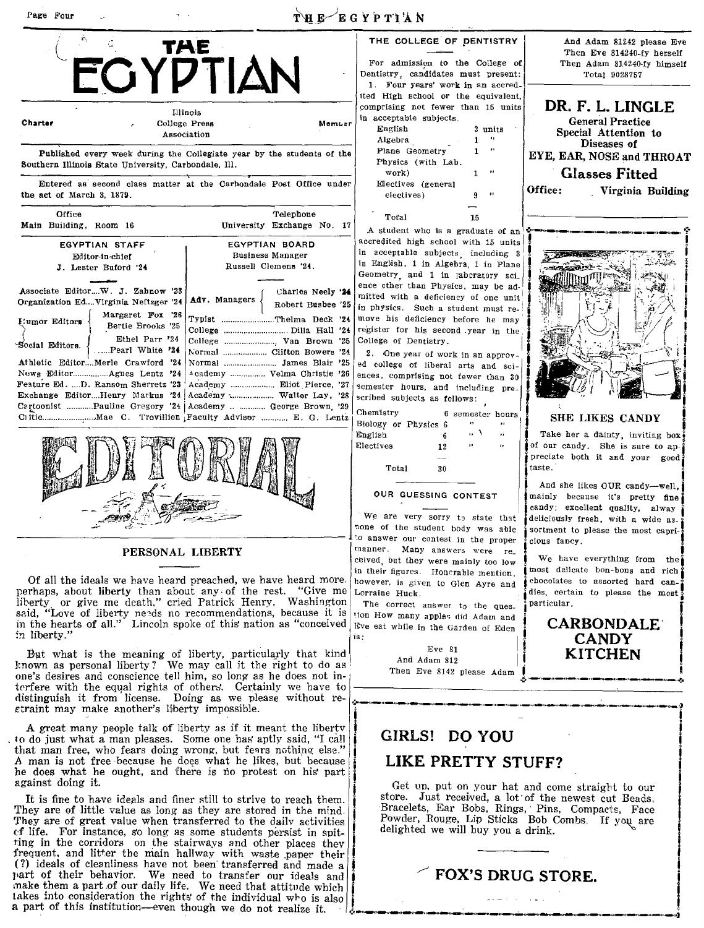### Page Four

### THE EGYPTIAN





### PERSONAL LIBERTY

Of all the ideals we have heard preached, we have heard more. perhaps, about liberty than about any. of the rest. "Give me liberty. or give me death," cried Patrick Henry. Washington said, "Love of liberty needs no recommendations, because it is in the hearts of all." Lincoln spoke of this nation as "conceived in liberty\_"

But what is the meaning of liberty, particularly that kind known as personal liberty? We may call it the right to do as one's desires and conscience tell him, so long as he does not interfere with the equal rights of others. Certainly we have to rlistinguish it from license. Doing as we please without re- etraint may make another's liberty impossible.

A great many people talk of liberty as if it meant the liberty to do just what a man pleases. Some one has aptly said, "I call that man free, who fears doing wrong, but fears nothing else." A man is not free ·because he does what he likes, but' because he does what he ought, and there is no protest on his part against doing it.

It is fine to have ideals and finer still to strive to reach them. They are of little value as long as they are stored in the mind. They are of great value when transferred to the dailv activities of life. For instance, so long as some students persist in spitting in the corridors on the stairways and other places they frequent. and litter the main hallway with waste paper their (?) ideals of cleanliness have not been transferred and made a (?) ideals of cleanliness have not been transferred and made a part of their behavior. We need to transfer our ideals and make them a part of our daily life. We need that attitude which A great many people talk of liberty as if it meant the liberty<br>
that man in mea, who fears along wrong, but fears nothing else."<br>
A man is not free because he does what he likes, but because<br>
A man is not free because he d

For admission to the College of Dentistry, candidates must present: 1. Four years' work in an accredited High school or the equivalent, comprising not fewer than 15 units in acceptable subjects. English 3 units Algebra. 1 Plane Geometry 1  $,$ Physics (with Lab. work) Electives (general electives) Tot'al 15

A student who is a graduate of an accredited high school with 15 units in acceptable subjects including 3 in English, 1 in Algebra, 1 in Plane Geometry and 1 in laboratory sci. ence other than Physics, may be admitted with a deficiency of one unit in physics. Such a student must remove his deficiency before he may register for his second year in the College of Dentistry.

2. One year of work in an approved college of liberal arts and sciences, comprising not fewer than 30 semester hours, and including prescribed subjects as follows:

Chemistry 6 semester hours Biology or Physics 6  $\overline{\phantom{a}}$  $\mathbf{r}$  $\overline{1}$ ,  $\overline{1}$ English  $\cdot$  $\epsilon$ Electives 12  $\ddot{\phantom{a}}$ Total 30

### OUR GUESSING CONTEST

We are very sorry to state that none of the student body was able to answer our contest in the proper manner. Many answers were re\_ ceived, but they were mainly too low in their figures. Honcrable mention. however, is given to Glen Ayre and Lorraine Huck.

The correct answer to the question How many apples did Adam and Eve eat while in the Garden of Eden  $is:$ 

> $Eve 81$ And Adam 812 Then Eve 8142 please Adam



DR. F. **L. LINGLE**  General Practice Special Attention to Diseases of EYE, EAR, NOSE and THROAT Glasses **Fitted**  Office: Virginia Building



### **SHE LIKES CANDY**

Take her a dainty, inviting box of our candy. She is sure to appreciate both it and your good taste.

And she likes OUR candy-well, mainly because it's pretty fine candy; excellent quality, alway deliciously fresh, with a wide assortment to please the most capricious fancy.

We have everything from the most delicate bon-bons and rich chocolates to assorted hard candies, certain to please the most particular.

**CARBONDALE CANDY KITCHEN** 

**.. : ..·--.. -·-'----'----'.et** 

## i<br>I<br>I<br>I **GIRLS! DO YOU**

Į į ,<br>,<br>,<br>,

t

### **LIKE PRETTY STUFF?**

 $\begin{bmatrix} 1 & 1 \\ 1 & 1 \\ 1 & 1 \end{bmatrix}$ Get up, put on your hat and come straight to our store. Just received, a lot of the newest cut Beads, Bracelets, Ear Bobs, Rings, Pins, Compacts, Face<br>Powder, Rouge, Lip Sticks Bob Combs. If you are<br>delighted we will buy you a drink.

~~ .. -.. -'-------\_\\_-.-,-----,-.~--.-..--'-,) I I

### / **FOX'S DRUG STORE.**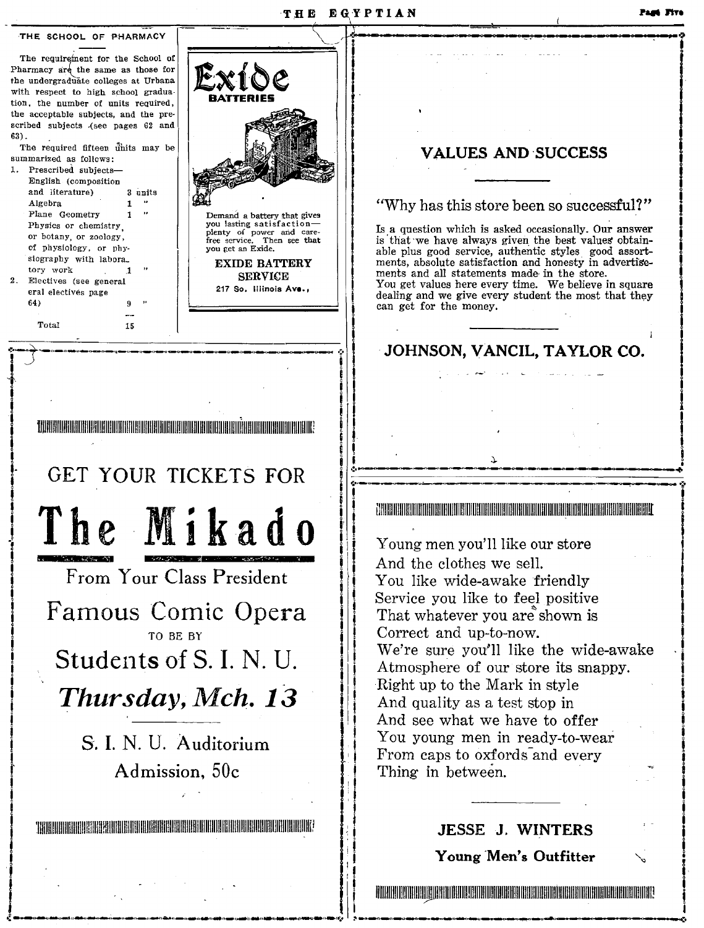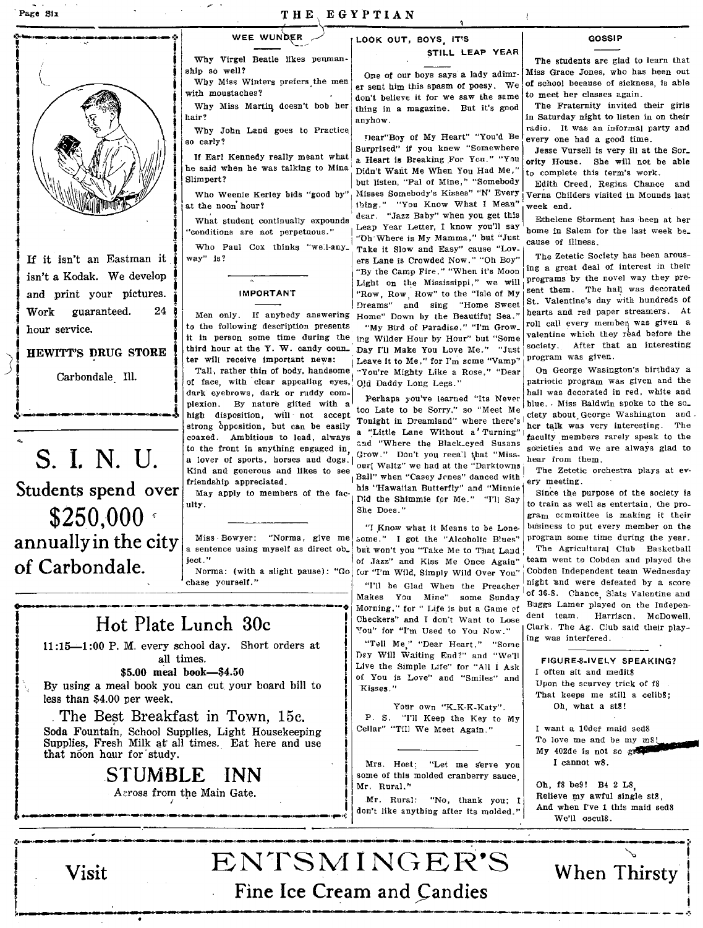

If it isn't an Eastman it Work guaranteed. 24 hour service.

Carbondale Ill.

---,-,----\_.

s. I. N. U. Students spend over  $$250,000$ annually in the city of Carbondale.

Why Virgel Beatle likes penman-<br>ship so well?<br>One of our hoys says a lady adim-<br>Miss Grace Jones, who has been out

Why John Land goes to Practice.<br>early? early ... heart "You'd Be every one had a good time.

he said when he was talking to Mina Didn't Want Me When You Had Me," to complete this term's work.<br>Slimpert? The Mina Didn't Water "Pal of Mina " "Somehody Didn't Class". Derive Classes

### IMPORTANT

**HEWITT'S DRUG STORE** third hour at the Y. W. candy coun. Day I'll Make You Love Me." "Just society. After that an interesting ter will receive important news: Leave it to Me," for I'm some "Vamp" program was given.<br>Tall,

plexion. By nature gifted with  $a^{\dagger}$  Perhaps you've learned its Never to the front in anything engaged in :: and "where the Black.eyed Susans societies and we are always glad to a lover of sports, horses and dogs.  $\begin{bmatrix} \text{Grow} & \text{D} & \text{D} & \text{C} & \text{D} & \text{D} & \text{D} & \text{D} & \text{D} & \text{D} & \text{D} & \text{D} & \text{D} & \text{D} & \text{D} & \text{D} & \text{D} & \text{D} & \text{D} & \text{D} & \text{D} & \text{D} & \text{D} & \text{D} & \text{D} & \text{D} & \text{D} & \text{D} & \text{D} & \text{$ Kind and generous and likes to see only waltz we had at the Darktowns | The Zetetic orchestra plays at ev-

Miss Bowyer: "Norma, give me some." I got the "Alcoholic B'ues" program some time during the year.<br>a sentence using myself as direct ob. but won't you "Take Me to That Land The Agricultural Club Basketball a sentence using myself as direct ob. but won't you "Take Me to That Land The Agricultural Club Basketball<br>ject."<br>of Jazz" and Kiss Me Once Again" team went to Cobden and played the



 $11:15-1:00$  P. M. every school day. Short orders at all times.

\$5.00 meal book-\$4.50

By using a meal book you can cut your board bill to less than \$4.00 per week.

The Best Breakfast in Town, 15c.

Soda Fountain, School Supplies, Light Housekeeping Supplies, Fresh Milk at all times. Eat here and use that noon hour for study.

# STUMBLE INN<br>Across from the Main Gate.

## WEE WUNDER  $\overline{C}$  LOOK OUT, BOYS, IT'S GOSSIP STILL LEAP YEAR

Ip so well?<br>Why Miss Winters prefers the men one of our boys says a lady adimr- Miss Grace Jones, who has been out WHY MISS WINTERS PERSETS. The men er sent him this spasm of poesy. We of school because of sickness, we with moustaches? ith moustaches?<br>Why Miss Martin doesn't bob her thing in a magazine. But it's good The Fraternity invited their girls Why Miss Martin doesn't bob her thing in a magazine. But it's good hair?

 $\begin{array}{c|c|c|c|c|c|c} \hline \text{non-1} & \text{non-2} & \text{non-3} \\ \hline \text{so early?} & \text{Supprised'' if you knew "Somewhere.} \end{array}$ If Earl Kennedy really meant what  $\begin{vmatrix} a & Heart & Beaking & For & You. \end{vmatrix}$  and original contract is the way in the sable<br>he said when he was talking to Mina. Didn't Wait Me When You Had Me." but listen, "Pal of Mine," "Somebody | Edith Creed, Regina Chance and thing." "You Know What I Mean" What student continually expounds  $\frac{1}{1}$  dear. "Jazz Baby" when you get this Ethelene Storment has been at her .. I "Dh'Where is My Mamma," but "Just cause Of ilIness\_ Who Paul Cox thinks "well-any<sub>-</sub> Take it Slow and Easy" cause "Lov-<br>way" is?<br> $\begin{vmatrix} \text{arg } n & \text{arg } n \\ \text{arg } n & \text{arg } n \end{vmatrix}$  ars Lane is Crowded Now " "Ob Boy" The Zetetic Society has been arous-<br>the Lane is Crowded Now.." "Oh Boy" The Zetetic Society has been arous-<br>"The Come Fire." "When it'e Moon  $\left|\log a\right|$  are deal of interest in their

Tall, rather thin of body, handsome  $\frac{1}{1}$  "You're Mighty Like a Rose," "Dear of face, with clear appealing eyes,  $\frac{1}{1}$  Old Daddy Long Legs."

friendship appreciated.<br>
This "Hawaiian Butterfly" and "Minnie of the file of the state of the state of the state of the state of the state of the state of the state of the state of the state of the state of the state of t May apply to members of the fae- his "Hawaiian Butterfly" and "Minnie Since the purpose of the society is

Norma: (with a slight pause): "Go for "I'm Wild, Simply Wild Over You."  $\frac{1}{2}$  chase yourself." "ou" for "I'm Used to You Now."

"Tell Me," "Dear Heart," "Some Day Will Waiting End?" and "We'lI Live the Simple Life" for "All I Ask of You is Love" and "Smiles" and Kisses."

Your own "K\_K-K-Katy".<br>P. S. "I'll Keep the Key to My P. S. "I'll Keep the Key to My Cellar" "Till We Meet Again." Cellar" "Till We Meet Again."

some of this molded cranberry sauce,<br>Mr. Rural."

 $\begin{array}{c|c|c|c|c} \textbf{S} & \textbf{UMBLE} & \textbf{INN} & \text{some of this model canberry save, } \end{array}$ <br>Across from the Main Gate.  $\begin{array}{c|c|c} \text{or} & \text{in. Rural.} & \text{``No, thank you; I don't like anything after its model."} \end{array}$ 

in Saturday night to listen in on their<br>in Saturday night to listen in on their<br>radio. It was an informal party and

Jesse Vursell is very ill at the Sor\_

Who Weenie Kerley bids "good by" Misses Somebody's Kisses" "N' Every Verna Childers visited in Mounds last at the noon hour?<br>at the noon hour?<br> $\frac{1}{2}$  thing." "You Know What I Mean" week end.

"conditions are not perpetuous." | Leap Year Letter, I know you'll say home in Salem for the last week be.

"By the Camp Fire," "When it's Moon  $\left| \begin{array}{ll} \text{ing a great deal of interest in their} \end{array} \right.$  $\begin{array}{c|c|c|c|c|c|c|c|c} \hline \text{is} & \text{if} & \text{if} & \text{if} & \text{if} & \text{if} & \text{if} & \text{if} & \text{if} & \text{if} & \text{if} & \text{if} & \text{if} & \text{if} & \text{if} & \text{if} & \text{if} & \text{if} & \text{if} & \text{if} & \text{if} & \text{if} & \text{if} & \text{if} & \text{if} & \text{if} & \text{if} & \text{if} & \text{if} & \text{if} & \text{if} & \text{if} & \text$ and print your pictures.  $\frac{1}{2}$  IMPORTANT  $\frac{1}{2}$  IMPORTANT  $\frac{1}{2}$  Theory Row, Row, Row, Row, Row, and  $\frac{1}{2}$  St. Valentine's day with hundreds of Dreams" and sing "Home Sweet St. Valentine's day with hundreds of  $M_{\text{OMC}}$ " hearts and red paper streamers. At Men only. If anybody answering Home" Down by the Beautiful Sea." hearts and red paper streamers. At<br>the following description presents. Any Pied of Dowedias " "I'm Caess" roll call every member was given a to the following description presents "My Bird of Paradise," "I'm Grow. Toll call every member was given a<br>it in nerson some time during the ing Wilder Hous by Hour" but "Some valentine which they read before the it in person some time during the ing Wilder Hour by Hour" but "Some valentine which they read before the<br>third hour at the Y. W. candy coun. Day I'll Make You Love Me " "Just society. After that an interesting

> Old Daddy Long Legs." patriotic program was given and the dark eyebrows, dark or ruddy com<sub>-</sub><br>plexion. By nature gitted with a Perhaps you've learned "Its Never hull was decorated in red, white and of face, with clear appealing eyes, Old Daddy Long Legs."<br>
> dark eyebrows, dark or ruddy com-<br>
> plexion. By nature gitted with a<br>
> neglight disposition, will not accept Tonight in Dreamland." where there's<br>  $\begin{bmatrix}\n\text{b} & \text{c$ strong opposition, but and be easily Tonight in Dreamland" where there's easy interesting. The easily contains a strong interesting. The tails was very interesting. The example of  $\alpha$  and  $\alpha$  was very interesting. The e coaxed. Ambitious to lead, always a Little Lane Without a Turning faculty members rarely speak to the

ulty.<br>She Does." She Does." gram cemmittee is making it their "I Know what it Means to be Lone- business to put every member on the of Jazz" and Kiss Me Once Again" team went to Cobden and played the for "I'm Wild. Simply Wild Over  $\gamma_{00}$ " Cobden Independent team Wednesday "I'll be Glad When the Preacher night and were defeated by a score The Sum and Sunday of 36-8. Chance, Slats Valentine and Morning," for "Life is but a Game of Buggs Lamer played on the Independent chase yourself."<br>
<sup>o</sup> • Til be Glad When the Preacher night and were defeated by a score<br>
Morning, for "Life is but a Game of Buggs Lamer played on the Indepen-<br>
Morning," for "Life is but a Game of Buggs Lamer played on t ing was interfered.

> FIGURE-8.IVELY SPEAKING? I often sit and medit8 Upon the senrvey trick of f8 That keeps me still a celib8; Oh, what a st8!

> I want a 10der maid sed8<br>To love me and be my m8!  $My$  402de is not so graph I cannot wS.

Oh, fS be9! B4 2 LS, Relieve my awful single st8, And when I've 1 this maid sedS We'll osculS.  $\blacksquare$ 

> $\overline{\rho}$ When Thirsty

i I i i

!

# Visit ENTSMINGER'S Fine Ice Cream and Candies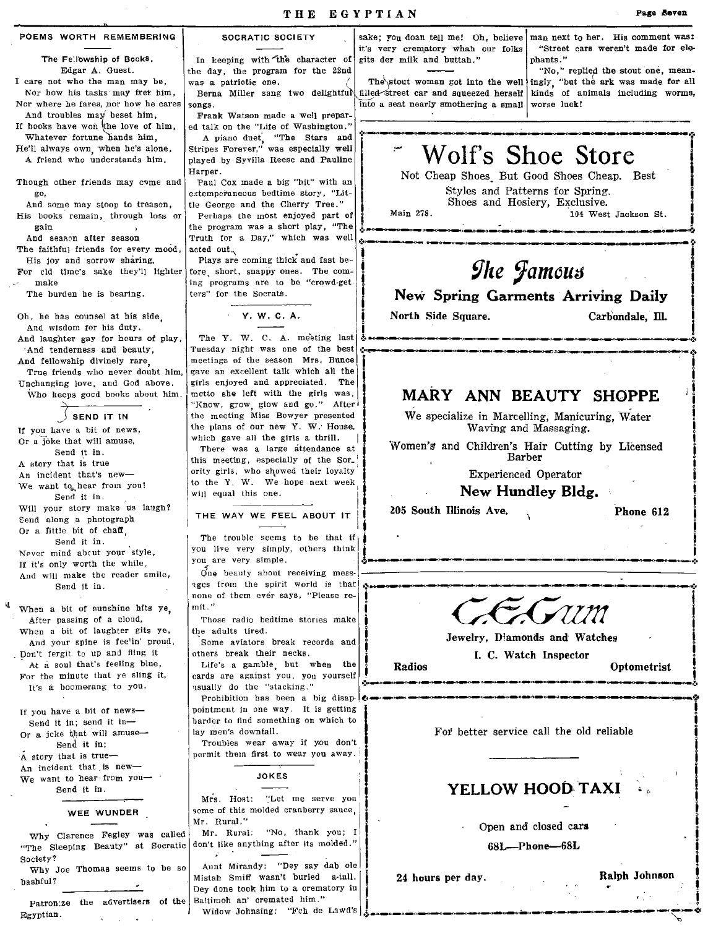POEMS WORTH REMEMBERING

The Fellowship of Books. Edgar A. Guest.

I care not who the man may be, Nor how his tasks may fret him, Nor where he fares, nor how he cares

And troubles may beset him. If books have won the love of him,

Whatever fortune hands him, He'll always own, when he's alone,

A friend who understands him.

Though other friends may come and go.

And some may stoop to treason, His books remain, through loss or gain And season after season

The faithful friends for every mood. His joy and sorrow sharing, For cld time's sake they'll lighter

make The burden he is bearing.

Oh, he has counsel at his side.

And wisdom for his duty. And laughter gay for hours of play. And tenderness and beauty. And fellowship divinely rare,

True friends who never doubt him, Unchanging love, and God above. Who keeps good books about him.

 $\frac{1}{2}$  send it in

If you have a bit of news, Or a joke that will amuse. Send it in. A story that is true An incident that's new-We want to hear from you! Send it in. Will your story make us laugh? Send along a photograph Or a fittle bit of chaff Send it in. Never mind about your style, If it's only worth the while, And will make the reader smile, Send it in.

When a bit of sunshine hits ye After passing of a cloud, When a bit of laughter gits ye, And your spine is fee'in' proud. Don't fergit to up and fling it At a soul that's feeling blue, For the minute that ye sling it, It's a boomerang to you.

If you have a bit of news-Send it in; send it in-Or a jcke that will amuse-Send it in; A story that is true-An incident that is new-We want to hear from you-Send it in.

WEE WUNDER

Why Clarence Fegley was called "The Sleeping Beauty" at Socratic don't like anything after its molded." Society?

Why Joe Thomas seems to be so bashful?

Patron'ze the advertisers of the Baltimoh an' cremated him." Egyptian.

SOCRATIC SOCIETY

In keeping with the character of the day, the program for the 22nd was a patrictic one. songs.

Frank Watson made a well prepared talk on the "Life of Washington."

A piano duet, "The Stars and<br>Stripes Forever," was especially well played by Syvilla Reese and Pauline Harper.

Paul Cox made a big "hit" with an extemperaneous bedtime story, "Little George and the Cherry Tree." Perhaps the most enjoyed part of the program was a short play, "The Truth for a Day," which was well acted out.

Plays are coming thick and fast before short, snappy ones. The coming programs are to be "crowd-getters" for the Socrats.

Y. W. C. A.

The Y. W. C. A. meeting last Tuesday night was one of the best meetings of the season Mrs. Bunce gave an excellent talk which all the girls enjoyed and appreciated. The motto she left with the girls was, "Know, grow, glow and go." After the meeting Miss Bowyer presented the plans of our new Y. W. House, which gave all the girls a thrill.

There was a large attendance at this meeting, especially of the Sor\_ ority girls, who showed their loyalty to the Y W. We hope next week will equal this one.

THE WAY WE FEEL ABOUT IT

The trouble seems to be that if, you live very simply, others think you are very simple.

One beauty about receiving messages from the spirit world is that none of them ever savs. "Please re $mit$ ."

Those radio bedtime stories make the adults tired.

.<br>Some aviators break records and others break their necks.

Life's a gamble, but when the cards are against you, you yourself usually do the "stacking."

Prohibition has been a big disappointment in one way. It is getting barder to find something on which to lay men's downfall.

Troubles wear away if you don't permit them first to wear you away.

**JOKES** 

Mrs. Host: "Let me serve you some of this molded cranberry sauce. Mr. Rural."

Mr. Rural: "No, thank you; I

Aunt Mirandy: "Dey say dab ole Mistah Smiff wasn't buried a-tall. Dev done took him to a crematory in

Widow Johnsing: "Fch de Lawd's

it's very crematory whah our folks gits der milk and buttah."

into a seat nearly smothering a small worse luck!

sake; you doan tell me! Oh, believe man next to her. His comment was: "Street cars weren't made for elephants."

"No," replied the stout one, meanas a patriotic one.<br>Berna Miller sang two delightful filled street car and squeezed herself kinds of animals including worms,

104 West Jackson St.

# Wolf's Shoe Store

Not Cheap Shoes But Good Shoes Cheap. Best Styles and Patterns for Spring. Shoes and Hosiery, Exclusive.

Main 278.

# The Jamous

New Spring Garments Arriving Daily

North Side Square.

Carbondale, Ill.

### MARY ANN BEAUTY SHOPPE

We specialize in Marcelling, Manicuring, Water Waving and Massaging.

Women's and Children's Hair Cutting by Licensed Barber

**Experienced Operator** 

New Hundley Bldg.

205 South Illinois Ave.

Phone 612



Jewelry. Diamonds and Watches I. C. Watch Inspector

**Radioa** 

Optometrist

Ralph Johnson

 $\epsilon$  ) is

For better service call the old reliable

### YELLOW HOOD TAXI

Open and closed cars

68L-Phone-68L

24 hours per day.

Page Seven